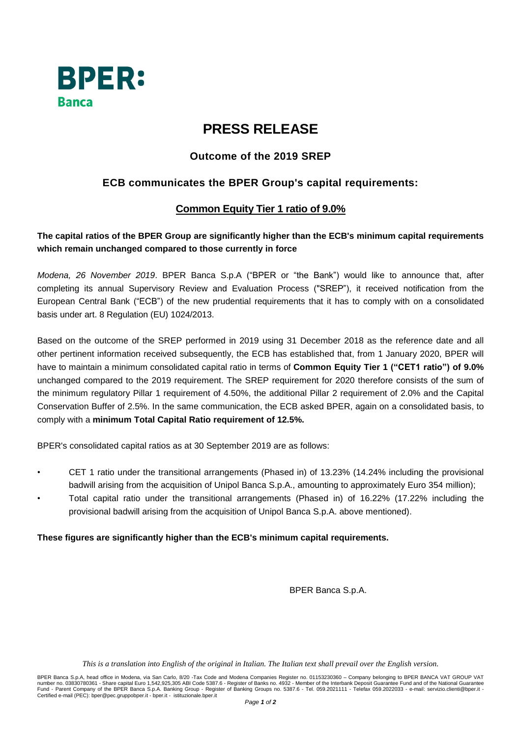

# **PRESS RELEASE**

# **Outcome of the 2019 SREP**

## **ECB communicates the BPER Group's capital requirements:**

### **Common Equity Tier 1 ratio of 9.0%**

#### **The capital ratios of the BPER Group are significantly higher than the ECB's minimum capital requirements which remain unchanged compared to those currently in force**

*Modena, 26 November 2019*. BPER Banca S.p.A ("BPER or "the Bank") would like to announce that, after completing its annual Supervisory Review and Evaluation Process ("SREP"), it received notification from the European Central Bank ("ECB") of the new prudential requirements that it has to comply with on a consolidated basis under art. 8 Regulation (EU) 1024/2013.

Based on the outcome of the SREP performed in 2019 using 31 December 2018 as the reference date and all other pertinent information received subsequently, the ECB has established that, from 1 January 2020, BPER will have to maintain a minimum consolidated capital ratio in terms of **Common Equity Tier 1 ("CET1 ratio") of 9.0%** unchanged compared to the 2019 requirement. The SREP requirement for 2020 therefore consists of the sum of the minimum regulatory Pillar 1 requirement of 4.50%, the additional Pillar 2 requirement of 2.0% and the Capital Conservation Buffer of 2.5%. In the same communication, the ECB asked BPER, again on a consolidated basis, to comply with a **minimum Total Capital Ratio requirement of 12.5%.**

BPER's consolidated capital ratios as at 30 September 2019 are as follows:

- CET 1 ratio under the transitional arrangements (Phased in) of 13.23% (14.24% including the provisional badwill arising from the acquisition of Unipol Banca S.p.A., amounting to approximately Euro 354 million);
- Total capital ratio under the transitional arrangements (Phased in) of 16.22% (17.22% including the provisional badwill arising from the acquisition of Unipol Banca S.p.A. above mentioned).

#### **These figures are significantly higher than the ECB's minimum capital requirements.**

BPER Banca S.p.A.

This is a translation into English of the original in Italian. The Italian text shall prevail over the English version.